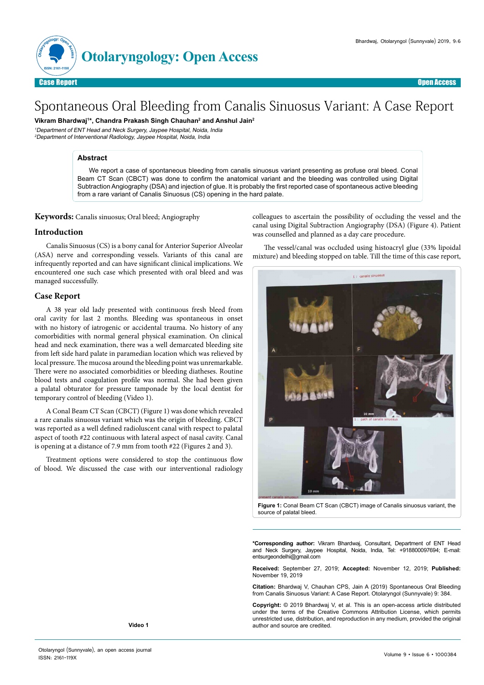

# Spontaneous Oral Bleeding from Canalis Sinuosus Variant: A Case Report

**Vikram Bhardwaj1 \*, Chandra Prakash Singh Chauhan2 and Anshul Jain2**

<sup>1</sup>Department of ENT Head and Neck Surgery, Jaypee Hospital, Noida, India <sup>2</sup>Department of Interventional Radiology, Jaypee Hospital, Noida, India

# **Abstract**

We report a case of spontaneous bleeding from canalis sinuosus variant presenting as profuse oral bleed. Conal Beam CT Scan (CBCT) was done to confirm the anatomical variant and the bleeding was controlled using Digital Subtraction Angiography (DSA) and injection of glue. It is probably the first reported case of spontaneous active bleeding from a rare variant of Canalis Sinuosus (CS) opening in the hard palate.

#### **Keywords:** Canalis sinuosus; Oral bleed; Angiography

#### **Introduction**

Canalis Sinuosus (CS) is a bony canal for Anterior Superior Alveolar (ASA) nerve and corresponding vessels. Variants of this canal are infrequently reported and can have significant clinical implications. We encountered one such case which presented with oral bleed and was managed successfully.

#### **Case Report**

A 38 year old lady presented with continuous fresh bleed from oral cavity for last 2 months. Bleeding was spontaneous in onset with no history of iatrogenic or accidental trauma. No history of any comorbidities with normal general physical examination. On clinical head and neck examination, there was a well demarcated bleeding site from left side hard palate in paramedian location which was relieved by local pressure. The mucosa around the bleeding point was unremarkable. There were no associated comorbidities or bleeding diatheses. Routine blood tests and coagulation profile was normal. She had been given a palatal obturator for pressure tamponade by the local dentist for temporary control of bleeding (Video 1).

A Conal Beam CT Scan (CBCT) (Figure 1) was done which revealed a rare canalis sinuosus variant which was the origin of bleeding. CBCT was reported as a well defined radioluscent canal with respect to palatal aspect of tooth #22 continuous with lateral aspect of nasal cavity. Canal is opening at a distance of 7.9 mm from tooth #22 (Figures 2 and 3).

Treatment options were considered to stop the continuous flow of blood. We discussed the case with our interventional radiology colleagues to ascertain the possibility of occluding the vessel and the canal using Digital Subtraction Angiography (DSA) (Figure 4). Patient was counselled and planned as a day care procedure.

The vessel/canal was occluded using histoacryl glue (33% lipoidal mixture) and bleeding stopped on table. Till the time of this case report,



**Figure 1:** Conal Beam CT Scan (CBCT) image of Canalis sinuosus variant, the source of palatal bleed.

**\*Corresponding author:** Vikram Bhardwaj, Consultant, Department of ENT Head and Neck Surgery, Jaypee Hospital, Noida, India, Tel: +918800097694; E-mail: entsurgeondelhi@gmail.com

**Received:** September 27, 2019; **Accepted:** November 12, 2019; **Published:** November 19, 2019

**Citation:** Bhardwaj V, Chauhan CPS, Jain A (2019) Spontaneous Oral Bleeding from Canalis Sinuosus Variant: A Case Report. Otolaryngol (Sunnyvale) 9: 384.

**Copyright:** © 2019 Bhardwaj V, et al. This is an open-access article distributed under the terms of the Creative Commons Attribution License, which permits unrestricted use, distribution, and reproduction in any medium, provided the original author and source are credited.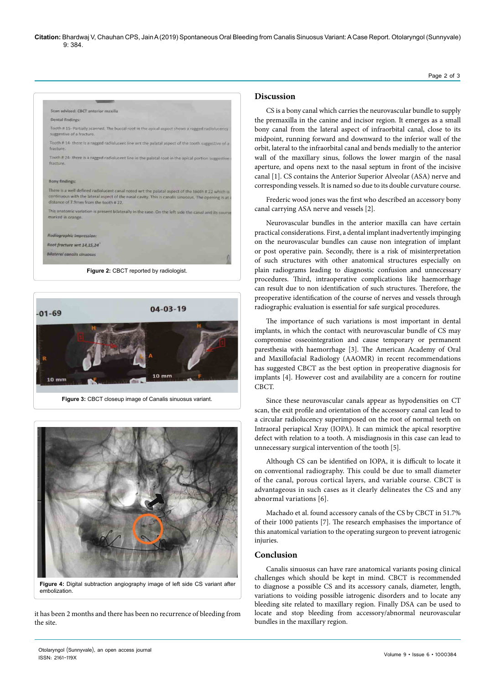**Citation:** Bhardwaj V, Chauhan CPS, Jain A(2019) Spontaneous Oral Bleeding from Canalis Sinuosus Variant: A Case Report. Otolaryngol (Sunnyvale) 9: 384.





**Figure 3:** CBCT closeup image of Canalis sinuosus variant.



**Figure 4:** Digital subtraction angiography image of left side CS variant after embolization.

it has been 2 months and there has been no recurrence of bleeding from the site.

## **Discussion**

CS is a bony canal which carries the neurovascular bundle to supply the premaxilla in the canine and incisor region. It emerges as a small bony canal from the lateral aspect of infraorbital canal, close to its midpoint, running forward and downward to the inferior wall of the orbit, lateral to the infraorbital canal and bends medially to the anterior wall of the maxillary sinus, follows the lower margin of the nasal aperture, and opens next to the nasal septum in front of the incisive canal [1]. CS contains the Anterior Superior Alveolar (ASA) nerve and corresponding vessels. It is named so due to its double curvature course.

Frederic wood jones was the first who described an accessory bony canal carrying ASA nerve and vessels [2].

Neurovascular bundles in the anterior maxilla can have certain practical considerations. First, a dental implant inadvertently impinging on the neurovascular bundles can cause non integration of implant or post operative pain. Secondly, there is a risk of misinterpretation of such structures with other anatomical structures especially on plain radiograms leading to diagnostic confusion and unnecessary procedures. Third, intraoperative complications like haemorrhage can result due to non identification of such structures. Therefore, the preoperative identification of the course of nerves and vessels through radiographic evaluation is essential for safe surgical procedures.

The importance of such variations is most important in dental implants, in which the contact with neurovascular bundle of CS may compromise osseointegration and cause temporary or permanent paresthesia with haemorrhage [3]. The American Academy of Oral and Maxillofacial Radiology (AAOMR) in recent recommendations has suggested CBCT as the best option in preoperative diagnosis for implants [4]. However cost and availability are a concern for routine CBCT.

Since these neurovascular canals appear as hypodensities on CT scan, the exit profile and orientation of the accessory canal can lead to a circular radiolucency superimposed on the root of normal teeth on Intraoral periapical Xray (IOPA). It can mimick the apical resorptive defect with relation to a tooth. A misdiagnosis in this case can lead to unnecessary surgical intervention of the tooth [5].

Although CS can be identified on IOPA, it is difficult to locate it on conventional radiography. This could be due to small diameter of the canal, porous cortical layers, and variable course. CBCT is advantageous in such cases as it clearly delineates the CS and any abnormal variations [6].

Machado et al. found accessory canals of the CS by CBCT in 51.7% of their 1000 patients [7]. The research emphasises the importance of this anatomical variation to the operating surgeon to prevent iatrogenic injuries.

## **Conclusion**

Canalis sinuosus can have rare anatomical variants posing clinical challenges which should be kept in mind. CBCT is recommended to diagnose a possible CS and its accessory canals, diameter, length, variations to voiding possible iatrogenic disorders and to locate any bleeding site related to maxillary region. Finally DSA can be used to locate and stop bleeding from accessory/abnormal neurovascular bundles in the maxillary region.